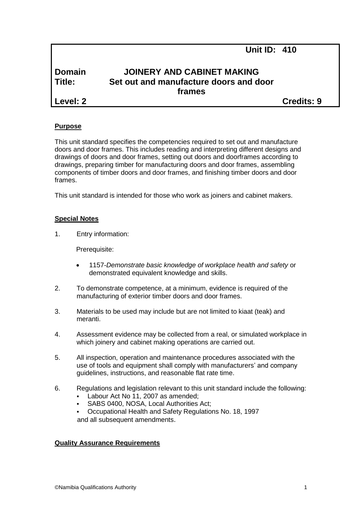# **Domain JOINERY AND CABINET MAKING Title: Set out and manufacture doors and door frames**

**Level: 2 Credits: 9**

## **Purpose**

This unit standard specifies the competencies required to set out and manufacture doors and door frames. This includes reading and interpreting different designs and drawings of doors and door frames, setting out doors and doorframes according to drawings, preparing timber for manufacturing doors and door frames, assembling components of timber doors and door frames, and finishing timber doors and door frames.

This unit standard is intended for those who work as joiners and cabinet makers.

## **Special Notes**

1. Entry information:

Prerequisite:

- 1157*-Demonstrate basic knowledge of workplace health and safety* or demonstrated equivalent knowledge and skills.
- 2. To demonstrate competence, at a minimum, evidence is required of the manufacturing of exterior timber doors and door frames.
- 3. Materials to be used may include but are not limited to kiaat (teak) and meranti.
- 4. Assessment evidence may be collected from a real, or simulated workplace in which joinery and cabinet making operations are carried out.
- 5. All inspection, operation and maintenance procedures associated with the use of tools and equipment shall comply with manufacturers' and company guidelines, instructions, and reasonable flat rate time.
- 6. Regulations and legislation relevant to this unit standard include the following:
	- Labour Act No 11, 2007 as amended;
	- SABS 0400, NOSA, Local Authorities Act;
	- Occupational Health and Safety Regulations No. 18, 1997 and all subsequent amendments.

## **Quality Assurance Requirements**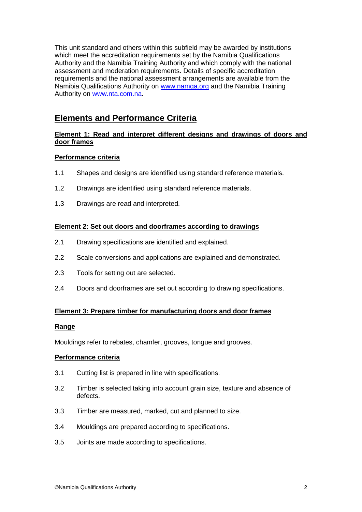This unit standard and others within this subfield may be awarded by institutions which meet the accreditation requirements set by the Namibia Qualifications Authority and the Namibia Training Authority and which comply with the national assessment and moderation requirements. Details of specific accreditation requirements and the national assessment arrangements are available from the Namibia Qualifications Authority on [www.namqa.org](http://www.namqa.org/) and the Namibia Training Authority on [www.nta.com.na.](http://www.nta.com.na/)

# **Elements and Performance Criteria**

## **Element 1: Read and interpret different designs and drawings of doors and door frames**

## **Performance criteria**

- 1.1 Shapes and designs are identified using standard reference materials.
- 1.2 Drawings are identified using standard reference materials.
- 1.3 Drawings are read and interpreted.

## **Element 2: Set out doors and doorframes according to drawings**

- 2.1 Drawing specifications are identified and explained.
- 2.2 Scale conversions and applications are explained and demonstrated.
- 2.3 Tools for setting out are selected.
- 2.4 Doors and doorframes are set out according to drawing specifications.

## **Element 3: Prepare timber for manufacturing doors and door frames**

## **Range**

Mouldings refer to rebates, chamfer, grooves, tongue and grooves.

## **Performance criteria**

- 3.1 Cutting list is prepared in line with specifications.
- 3.2 Timber is selected taking into account grain size, texture and absence of defects.
- 3.3 Timber are measured, marked, cut and planned to size.
- 3.4 Mouldings are prepared according to specifications.
- 3.5 Joints are made according to specifications.